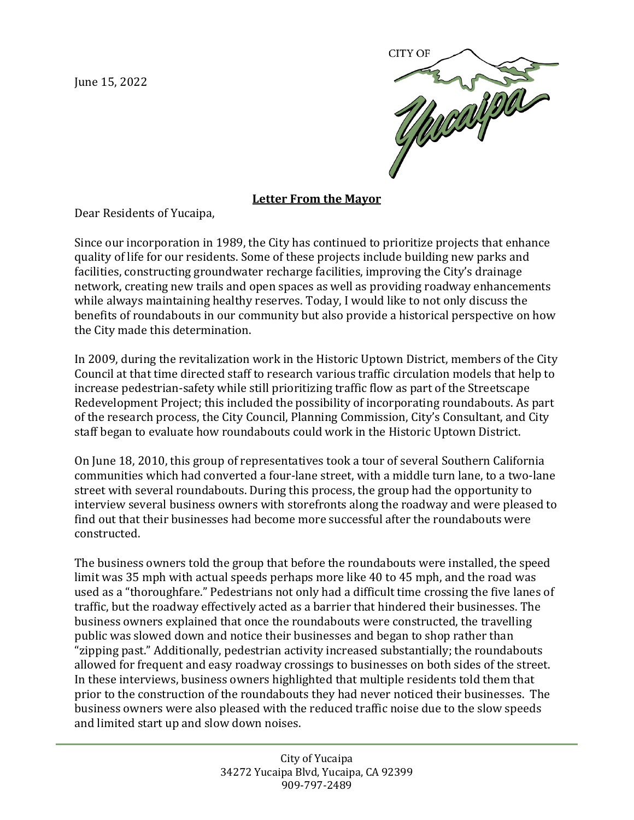June 15, 2022



## **Letter From the Mayor**

Dear Residents of Yucaipa,

Since our incorporation in 1989, the City has continued to prioritize projects that enhance quality of life for our residents. Some of these projects include building new parks and facilities, constructing groundwater recharge facilities, improving the City's drainage network, creating new trails and open spaces as well as providing roadway enhancements while always maintaining healthy reserves. Today, I would like to not only discuss the benefits of roundabouts in our community but also provide a historical perspective on how the City made this determination.

In 2009, during the revitalization work in the Historic Uptown District, members of the City Council at that time directed staff to research various traffic circulation models that help to increase pedestrian-safety while still prioritizing traffic flow as part of the Streetscape Redevelopment Project; this included the possibility of incorporating roundabouts. As part of the research process, the City Council, Planning Commission, City's Consultant, and City staff began to evaluate how roundabouts could work in the Historic Uptown District.

On June 18, 2010, this group of representatives took a tour of several Southern California communities which had converted a four-lane street, with a middle turn lane, to a two-lane street with several roundabouts. During this process, the group had the opportunity to interview several business owners with storefronts along the roadway and were pleased to find out that their businesses had become more successful after the roundabouts were constructed.

The business owners told the group that before the roundabouts were installed, the speed limit was 35 mph with actual speeds perhaps more like 40 to 45 mph, and the road was used as a "thoroughfare." Pedestrians not only had a difficult time crossing the five lanes of traffic, but the roadway effectively acted as a barrier that hindered their businesses. The business owners explained that once the roundabouts were constructed, the travelling public was slowed down and notice their businesses and began to shop rather than "zipping past." Additionally, pedestrian activity increased substantially; the roundabouts allowed for frequent and easy roadway crossings to businesses on both sides of the street. In these interviews, business owners highlighted that multiple residents told them that prior to the construction of the roundabouts they had never noticed their businesses. The business owners were also pleased with the reduced traffic noise due to the slow speeds and limited start up and slow down noises.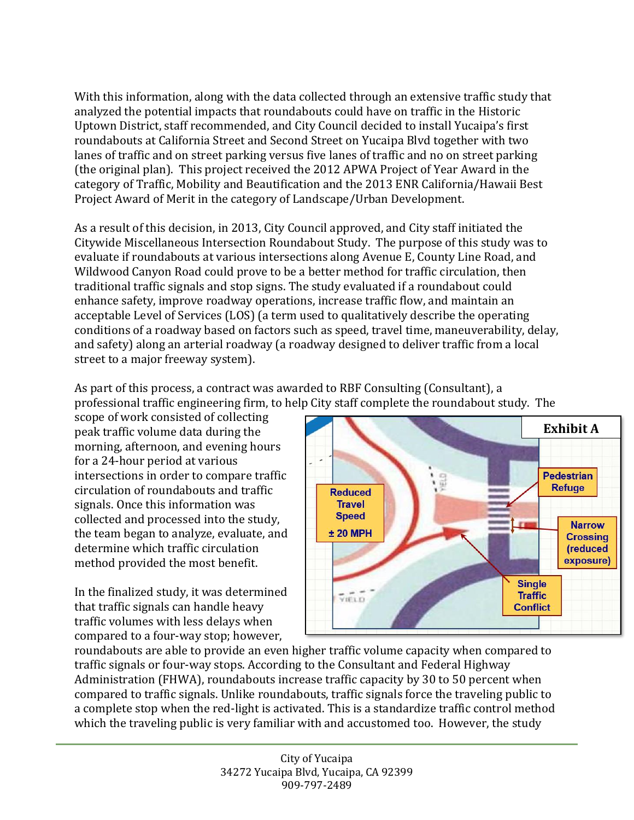With this information, along with the data collected through an extensive traffic study that analyzed the potential impacts that roundabouts could have on traffic in the Historic Uptown District, staff recommended, and City Council decided to install Yucaipa's first roundabouts at California Street and Second Street on Yucaipa Blvd together with two lanes of traffic and on street parking versus five lanes of traffic and no on street parking (the original plan). This project received the 2012 APWA Project of Year Award in the category of Traffic, Mobility and Beautification and the 2013 ENR California/Hawaii Best Project Award of Merit in the category of Landscape/Urban Development.

As a result of this decision, in 2013, City Council approved, and City staff initiated the Citywide Miscellaneous Intersection Roundabout Study. The purpose of this study was to evaluate if roundabouts at various intersections along Avenue E, County Line Road, and Wildwood Canyon Road could prove to be a better method for traffic circulation, then traditional traffic signals and stop signs. The study evaluated if a roundabout could enhance safety, improve roadway operations, increase traffic flow, and maintain an acceptable Level of Services (LOS) (a term used to qualitatively describe the operating conditions of a roadway based on factors such as speed, travel time, maneuverability, delay, and safety) along an arterial roadway (a roadway designed to deliver traffic from a local street to a major freeway system).

As part of this process, a contract was awarded to RBF Consulting (Consultant), a professional traffic engineering firm, to help City staff complete the roundabout study. The

scope of work consisted of collecting peak traffic volume data during the morning, afternoon, and evening hours for a 24-hour period at various intersections in order to compare traffic circulation of roundabouts and traffic signals. Once this information was collected and processed into the study, the team began to analyze, evaluate, and determine which traffic circulation method provided the most benefit.

In the finalized study, it was determined that traffic signals can handle heavy traffic volumes with less delays when compared to a four-way stop; however,



roundabouts are able to provide an even higher traffic volume capacity when compared to traffic signals or four-way stops. According to the Consultant and Federal Highway Administration (FHWA), roundabouts increase traffic capacity by 30 to 50 percent when compared to traffic signals. Unlike roundabouts, traffic signals force the traveling public to a complete stop when the red-light is activated. This is a standardize traffic control method which the traveling public is very familiar with and accustomed too. However, the study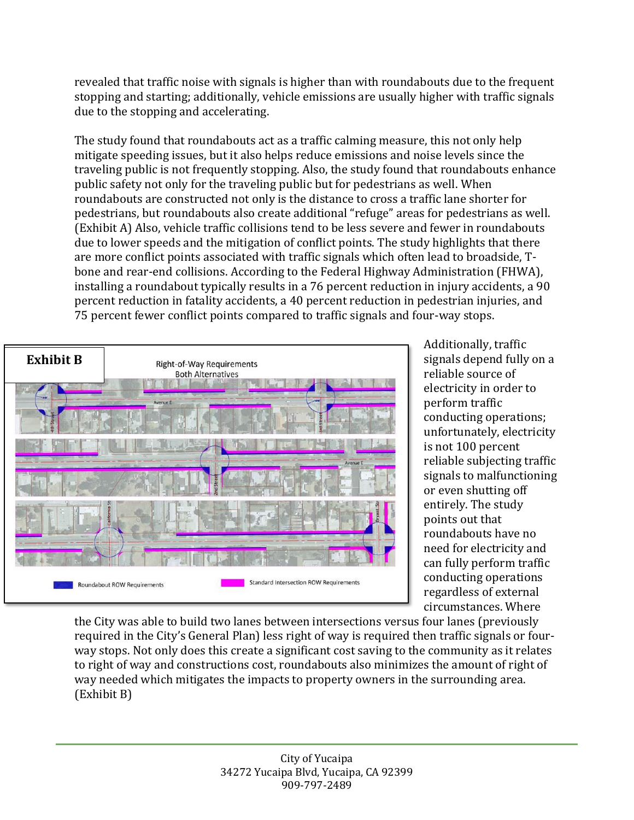revealed that traffic noise with signals is higher than with roundabouts due to the frequent stopping and starting; additionally, vehicle emissions are usually higher with traffic signals due to the stopping and accelerating.

The study found that roundabouts act as a traffic calming measure, this not only help mitigate speeding issues, but it also helps reduce emissions and noise levels since the traveling public is not frequently stopping. Also, the study found that roundabouts enhance public safety not only for the traveling public but for pedestrians as well. When roundabouts are constructed not only is the distance to cross a traffic lane shorter for pedestrians, but roundabouts also create additional "refuge" areas for pedestrians as well. (Exhibit A) Also, vehicle traffic collisions tend to be less severe and fewer in roundabouts due to lower speeds and the mitigation of conflict points. The study highlights that there are more conflict points associated with traffic signals which often lead to broadside, Tbone and rear-end collisions. According to the Federal Highway Administration (FHWA), installing a roundabout typically results in a 76 percent reduction in injury accidents, a 90 percent reduction in fatality accidents, a 40 percent reduction in pedestrian injuries, and 75 percent fewer conflict points compared to traffic signals and four-way stops.



Additionally, traffic signals depend fully on a reliable source of electricity in order to perform traffic conducting operations; unfortunately, electricity is not 100 percent reliable subjecting traffic signals to malfunctioning or even shutting off entirely. The study points out that roundabouts have no need for electricity and can fully perform traffic conducting operations regardless of external circumstances. Where

the City was able to build two lanes between intersections versus four lanes (previously required in the City's General Plan) less right of way is required then traffic signals or fourway stops. Not only does this create a significant cost saving to the community as it relates to right of way and constructions cost, roundabouts also minimizes the amount of right of way needed which mitigates the impacts to property owners in the surrounding area. (Exhibit B)